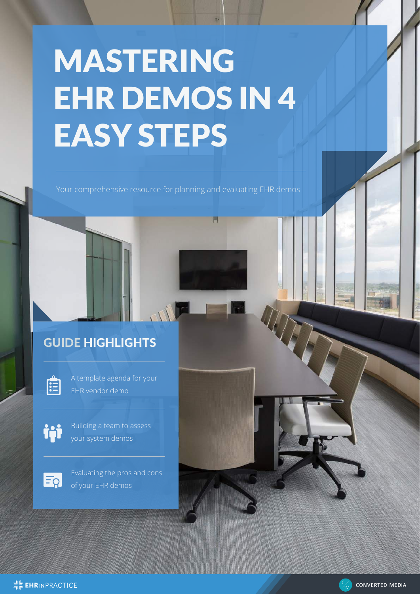# MASTERING EHR DEMOS IN 4 EASY STEPS

Your comprehensive resource for planning and evaluating EHR demos

# GUIDE HIGHLIGHTS



A template agenda for your EHR vendor demo

Building a team to assess your system demos



Evaluating the pros and cons of your EHR demos



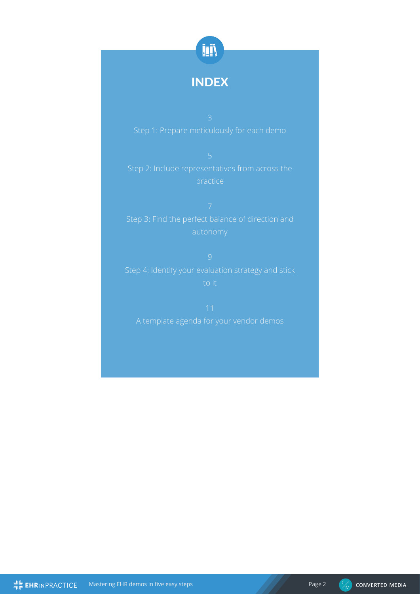

## INDEX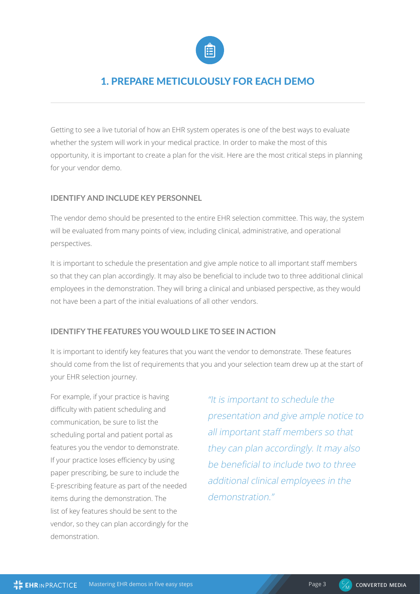

## 1. PREPARE METICULOUSLY FOR EACH DEMO

Getting to see a live tutorial of how an EHR system operates is one of the best ways to evaluate whether the system will work in your medical practice. In order to make the most of this opportunity, it is important to create a plan for the visit. Here are the most critical steps in planning for your vendor demo.

#### **IDENTIFY AND INCLUDE KEY PERSONNEL**

The vendor demo should be presented to the entire EHR selection committee. This way, the system will be evaluated from many points of view, including clinical, administrative, and operational perspectives.

It is important to schedule the presentation and give ample notice to all important staff members so that they can plan accordingly. It may also be beneficial to include two to three additional clinical employees in the demonstration. They will bring a clinical and unbiased perspective, as they would not have been a part of the initial evaluations of all other vendors.

#### **IDENTIFY THE FEATURES YOU WOULD LIKE TO SEE IN ACTION**

It is important to identify key features that you want the vendor to demonstrate. These features should come from the list of requirements that you and your selection team drew up at the start of your EHR selection journey.

For example, if your practice is having difficulty with patient scheduling and communication, be sure to list the scheduling portal and patient portal as features you the vendor to demonstrate. If your practice loses efficiency by using paper prescribing, be sure to include the E-prescribing feature as part of the needed items during the demonstration. The list of key features should be sent to the vendor, so they can plan accordingly for the demonstration.

"It is important to schedule the presentation and give ample notice to all important staff members so that they can plan accordingly. It may also be beneficial to include two to three additional clinical employees in the demonstration<sup>"</sup>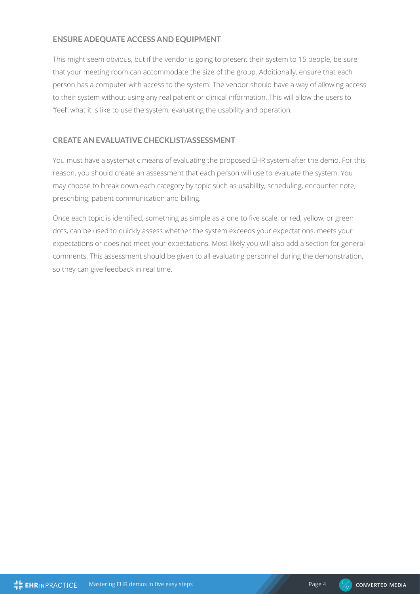#### **ENSURE ADEQUATE ACCESS AND EQUIPMENT**

This might seem obvious, but if the vendor is going to present their system to 15 people, be sure that your meeting room can accommodate the size of the group. Additionally, ensure that each person has a computer with access to the system. The vendor should have a way of allowing access to their system without using any real patient or clinical information. This will allow the users to "feel" what it is like to use the system, evaluating the usability and operation.

#### **CREATE AN EVALUATIVE CHECKLIST/ASSESSMENT**

You must have a systematic means of evaluating the proposed EHR system after the demo. For this reason, you should create an assessment that each person will use to evaluate the system. You may choose to break down each category by topic such as usability, scheduling, encounter note, prescribing, patient communication and billing.

Once each topic is identified, something as simple as a one to five scale, or red, yellow, or green dots, can be used to quickly assess whether the system exceeds your expectations, meets your expectations or does not meet your expectations. Most likely you will also add a section for general comments. This assessment should be given to all evaluating personnel during the demonstration, so they can give feedback in real time.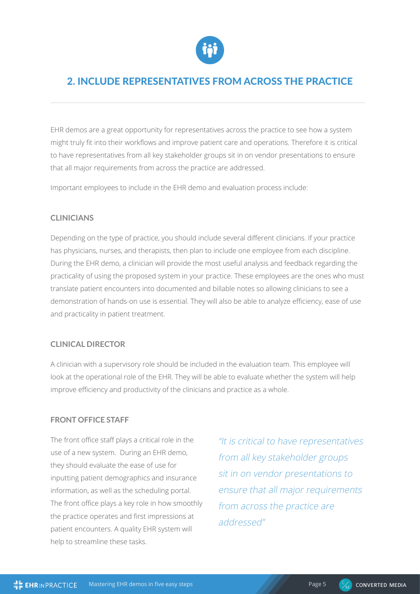

## 2. INCLUDE REPRESENTATIVES FROM ACROSS THE PRACTICE

EHR demos are a great opportunity for representatives across the practice to see how a system might truly fit into their workflows and improve patient care and operations. Therefore it is critical to have representatives from all key stakeholder groups sit in on vendor presentations to ensure that all major requirements from across the practice are addressed.

Important employees to include in the EHR demo and evaluation process include:

#### **CLINICIANS**

Depending on the type of practice, you should include several different clinicians. If your practice has physicians, nurses, and therapists, then plan to include one employee from each discipline. During the EHR demo, a clinician will provide the most useful analysis and feedback regarding the practicality of using the proposed system in your practice. These employees are the ones who must translate patient encounters into documented and billable notes so allowing clinicians to see a demonstration of hands-on use is essential. They will also be able to analyze efficiency, ease of use and practicality in patient treatment.

#### **CLINICAL DIRECTOR**

A clinician with a supervisory role should be included in the evaluation team. This employee will look at the operational role of the EHR. They will be able to evaluate whether the system will help improve efficiency and productivity of the clinicians and practice as a whole.

#### **FRONT OFFICE STAFF**

The front office staff plays a critical role in the use of a new system. During an EHR demo, they should evaluate the ease of use for inputting patient demographics and insurance information, as well as the scheduling portal. The front office plays a key role in how smoothly the practice operates and first impressions at patient encounters. A quality EHR system will help to streamline these tasks.

"It is critical to have representatives from all key stakeholder groups sit in on vendor presentations to ensure that all major requirements from across the practice are addressed"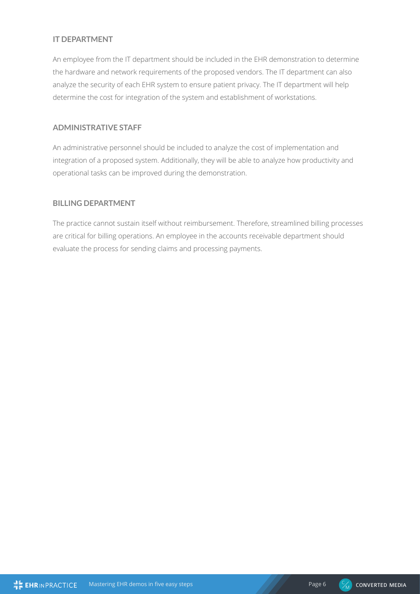#### **IT DEPARTMENT**

An employee from the IT department should be included in the EHR demonstration to determine the hardware and network requirements of the proposed vendors. The IT department can also analyze the security of each EHR system to ensure patient privacy. The IT department will help determine the cost for integration of the system and establishment of workstations.

#### **ADMINISTRATIVE STAFF**

An administrative personnel should be included to analyze the cost of implementation and integration of a proposed system. Additionally, they will be able to analyze how productivity and operational tasks can be improved during the demonstration.

#### **BILLING DEPARTMENT**

The practice cannot sustain itself without reimbursement. Therefore, streamlined billing processes are critical for billing operations. An employee in the accounts receivable department should evaluate the process for sending claims and processing payments.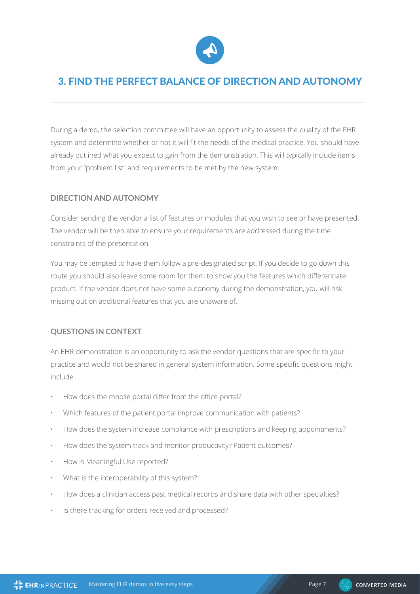

## 3. FIND THE PERFECT BALANCE OF DIRECTION AND AUTONOMY

During a demo, the selection committee will have an opportunity to assess the quality of the EHR system and determine whether or not it will fit the needs of the medical practice. You should have already outlined what you expect to gain from the demonstration. This will typically include items from your "problem list" and requirements to be met by the new system.

#### **DIRECTION AND AUTONOMY**

Consider sending the vendor a list of features or modules that you wish to see or have presented. The vendor will be then able to ensure your requirements are addressed during the time constraints of the presentation.

You may be tempted to have them follow a pre-designated script. If you decide to go down this route you should also leave some room for them to show you the features which differentiate product. If the vendor does not have some autonomy during the demonstration, you will risk missing out on additional features that you are unaware of.

#### **QUESTIONS IN CONTEXT**

An EHR demonstration is an opportunity to ask the vendor questions that are specific to your practice and would not be shared in general system information. Some specific questions might include:

- How does the mobile portal differ from the office portal?
- Which features of the patient portal improve communication with patients?
- How does the system increase compliance with prescriptions and keeping appointments?
- How does the system track and monitor productivity? Patient outcomes?
- How is Meaningful Use reported?
- What is the interoperability of this system?
- How does a clinician access past medical records and share data with other specialties?
- Is there tracking for orders received and processed?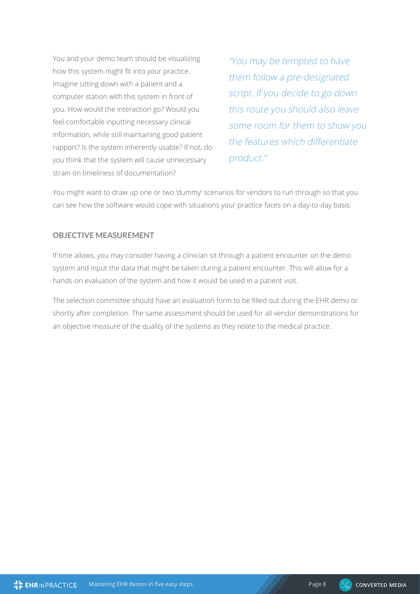You and your demo team should be visualizing how this system might fit into your practice. Imagine sitting down with a patient and a computer station with this system in front of you. How would the interaction go? Would you feel comfortable inputting necessary clinical information, while still maintaining good patient rapport? Is the system inherently usable? If not, do you think that the system will cause unnecessary strain on timeliness of documentation?

"You may be tempted to have them follow a pre-designated script. If you decide to go down this route you should also leave some room for them to show you the features which differentiate product."

You might want to draw up one or two 'dummy' scenarios for vendors to run through so that you can see how the software would cope with situations your practice faces on a day-to-day basis.

#### **OBJECTIVE MEASUREMENT**

If time allows, you may consider having a clinician sit through a patient encounter on the demo system and input the data that might be taken during a patient encounter. This will allow for a hands-on evaluation of the system and how it would be used in a patient visit.

The selection committee should have an evaluation form to be filled out during the EHR demo or shortly after completion. The same assessment should be used for all vendor demonstrations for an objective measure of the quality of the systems as they relate to the medical practice.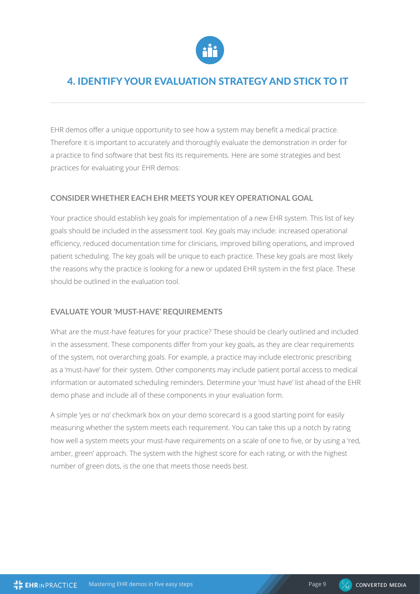

### 4. IDENTIFY YOUR EVALUATION STRATEGY AND STICK TO IT

EHR demos offer a unique opportunity to see how a system may benefit a medical practice. Therefore it is important to accurately and thoroughly evaluate the demonstration in order for a practice to find software that best fits its requirements. Here are some strategies and best practices for evaluating your EHR demos:

#### **CONSIDER WHETHER EACH EHR MEETS YOUR KEY OPERATIONAL GOAL**

Your practice should establish key goals for implementation of a new EHR system. This list of key goals should be included in the assessment tool. Key goals may include: increased operational efficiency, reduced documentation time for clinicians, improved billing operations, and improved patient scheduling. The key goals will be unique to each practice. These key goals are most likely the reasons why the practice is looking for a new or updated EHR system in the first place. These should be outlined in the evaluation tool.

#### **EVALUATE YOUR 'MUST-HAVE' REQUIREMENTS**

What are the must-have features for your practice? These should be clearly outlined and included in the assessment. These components differ from your key goals, as they are clear requirements of the system, not overarching goals. For example, a practice may include electronic prescribing as a 'must-have' for their system. Other components may include patient portal access to medical information or automated scheduling reminders. Determine your 'must have' list ahead of the EHR demo phase and include all of these components in your evaluation form.

A simple 'yes or no' checkmark box on your demo scorecard is a good starting point for easily measuring whether the system meets each requirement. You can take this up a notch by rating how well a system meets your must-have requirements on a scale of one to five, or by using a 'red, amber, green' approach. The system with the highest score for each rating, or with the highest number of green dots, is the one that meets those needs best.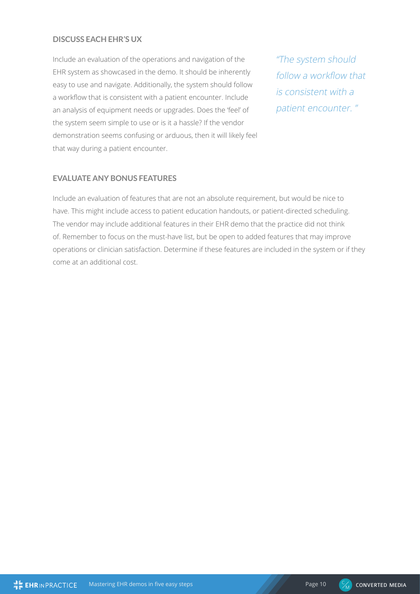#### **DISCUSS EACH EHR'S UX**

Include an evaluation of the operations and navigation of the EHR system as showcased in the demo. It should be inherently easy to use and navigate. Additionally, the system should follow a workflow that is consistent with a patient encounter. Include an analysis of equipment needs or upgrades. Does the 'feel' of the system seem simple to use or is it a hassle? If the vendor demonstration seems confusing or arduous, then it will likely feel that way during a patient encounter.

"The system should follow a workflow that is consistent with a patient encounter. "

#### **EVALUATE ANY BONUS FEATURES**

Include an evaluation of features that are not an absolute requirement, but would be nice to have. This might include access to patient education handouts, or patient-directed scheduling. The vendor may include additional features in their EHR demo that the practice did not think of. Remember to focus on the must-have list, but be open to added features that may improve operations or clinician satisfaction. Determine if these features are included in the system or if they come at an additional cost.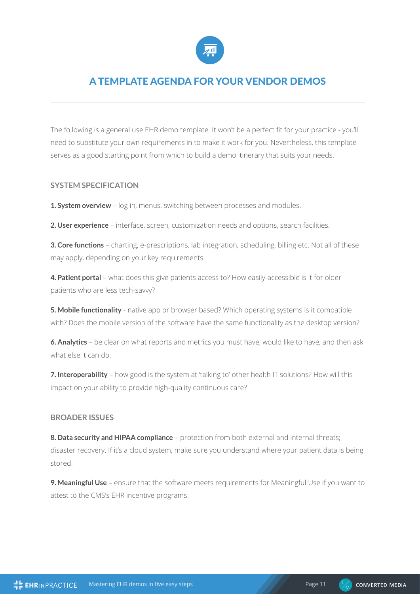

## A TEMPLATE AGENDA FOR YOUR VENDOR DEMOS

The following is a general use EHR demo template. It won't be a perfect fit for your practice - you'll need to substitute your own requirements in to make it work for you. Nevertheless, this template serves as a good starting point from which to build a demo itinerary that suits your needs.

#### **SYSTEM SPECIFICATION**

**1. System overview** – log in, menus, switching between processes and modules.

**2. User experience** – interface, screen, customization needs and options, search facilities.

**3. Core functions** – charting, e-prescriptions, lab integration, scheduling, billing etc. Not all of these may apply, depending on your key requirements.

**4. Patient portal** – what does this give patients access to? How easily-accessible is it for older patients who are less tech-savvy?

**5. Mobile functionality** - native app or browser based? Which operating systems is it compatible with? Does the mobile version of the software have the same functionality as the desktop version?

**6. Analytics** – be clear on what reports and metrics you must have, would like to have, and then ask what else it can do.

**7. Interoperability** – how good is the system at 'talking to' other health IT solutions? How will this impact on your ability to provide high-quality continuous care?

#### **BROADER ISSUES**

**8. Data security and HIPAA compliance** – protection from both external and internal threats; disaster recovery. If it's a cloud system, make sure you understand where your patient data is being stored.

**9. Meaningful Use** – ensure that the software meets requirements for Meaningful Use if you want to attest to the CMS's EHR incentive programs.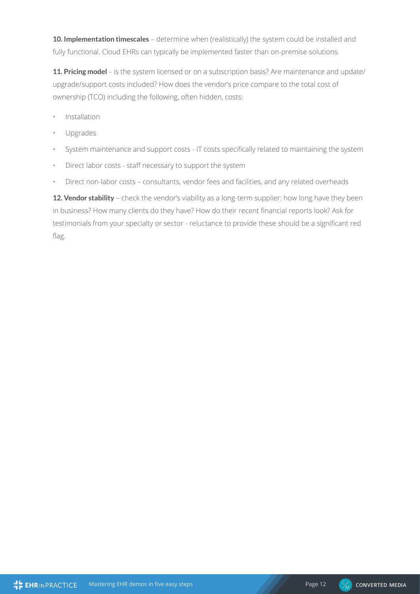**10. Implementation timescales** – determine when (realistically) the system could be installed and fully functional. Cloud EHRs can typically be implemented faster than on-premise solutions.

**11. Pricing model** – is the system licensed or on a subscription basis? Are maintenance and update/ upgrade/support costs included? How does the vendor's price compare to the total cost of ownership (TCO) including the following, often hidden, costs:

- Installation
- Upgrades
- System maintenance and support costs IT costs specifically related to maintaining the system
- Direct labor costs staff necessary to support the system
- Direct non-labor costs consultants, vendor fees and facilities, and any related overheads

**12. Vendor stability** – check the vendor's viability as a long-term supplier: how long have they been in business? How many clients do they have? How do their recent financial reports look? Ask for testimonials from your specialty or sector - reluctance to provide these should be a significant red flag.